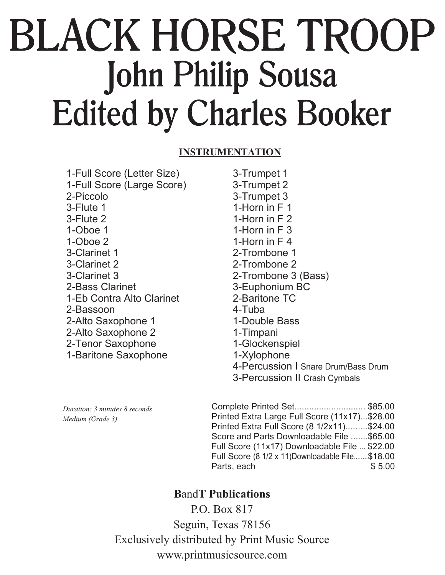# **BLACK HORSE TROOP John Philip Sousa Edited by Charles Booker**

#### **INSTRUMENTATION**

1-Full Score (Letter Size) 1-Full Score (Large Score) 2-Piccolo 3-Flute 1 3-Flute 2 1-Oboe 1 1-Oboe 2 3-Clarinet 1 3-Clarinet 2 3-Clarinet 3 2-Bass Clarinet 1-Eb Contra Alto Clarinet 2-Bassoon 2-Alto Saxophone 1 2-Alto Saxophone 2 2-Tenor Saxophone 1-Baritone Saxophone

3-Trumpet 1 3-Trumpet 2 3-Trumpet 3 1-Horn in F 1 1-Horn in F 2 1-Horn in F 3 1-Horn in F 4 2-Trombone 1 2-Trombone 2 2-Trombone 3 (Bass) 3-Euphonium BC 2-Baritone TC 4-Tuba 1-Double Bass 1-Timpani 1-Glockenspiel 1-Xylophone 4-Percussion I Snare Drum/Bass Drum 3-Percussion II Crash Cymbals

*Duration: 3 minutes 8 seconds Medium (Grade 3)*

 Complete Printed Set............................. \$85.00 Printed Extra Large Full Score (11x17)...\$28.00 Printed Extra Full Score (8 1/2x11).........\$24.00 Score and Parts Downloadable File .......\$65.00 Full Score (11x17) Downloadable File ... \$22.00 Full Score (8 1/2 x 11)Downloadable File........\$18.00 Parts, each  $\$ 5.00$ 

#### **B**and**T Publications**

P.O. Box 817 Seguin, Texas 78156 Exclusively distributed by Print Music Source www.printmusicsource.com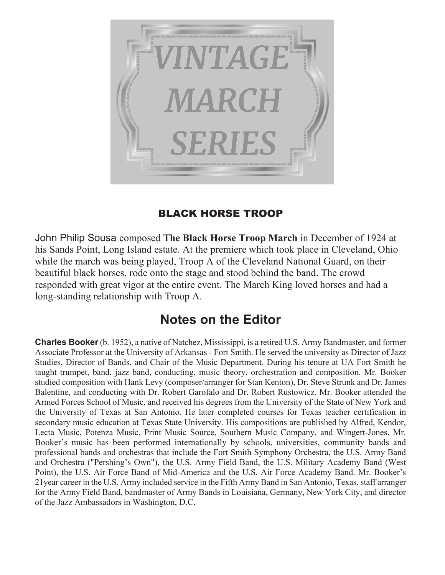

#### BLACK HORSE TROOP

John Philip Sousa composed **The Black Horse Troop March** in December of 1924 at his Sands Point, Long Island estate. At the premiere which took place in Cleveland, Ohio while the march was being played, Troop A of the Cleveland National Guard, on their beautiful black horses, rode onto the stage and stood behind the band. The crowd responded with great vigor at the entire event. The March King loved horses and had a long-standing relationship with Troop A.

### **Notes on the Editor**

**Charles Booker**(b. 1952), a native of Natchez, Mississippi, is a retired U.S. Army Bandmaster, and former Associate Professor at the University of Arkansas - Fort Smith. He served the university as Director of Jazz Studies, Director of Bands, and Chair of the Music Department. During his tenure at UA Fort Smith he taught trumpet, band, jazz band, conducting, music theory, orchestration and composition. Mr. Booker studied composition with Hank Levy (composer/arranger for Stan Kenton), Dr. Steve Strunk and Dr. James Balentine, and conducting with Dr. Robert Garofalo and Dr. Robert Rustowicz. Mr. Booker attended the Armed Forces School of Music, and received his degrees from the University of the State of New York and the University of Texas at San Antonio. He later completed courses for Texas teacher certification in secondary music education at Texas State University. His compositions are published by Alfred, Kendor, Lecta Music, Potenza Music, Print Music Source, Southern Music Company, and Wingert-Jones. Mr. Booker's music has been performed internationally by schools, universities, community bands and professional bands and orchestras that include the Fort Smith Symphony Orchestra, the U.S. Army Band and Orchestra ("Pershing's Own"), the U.S. Army Field Band, the U.S. Military Academy Band (West Point), the U.S. Air Force Band of Mid-America and the U.S. Air Force Academy Band. Mr. Booker's 21year career in the U.S. Army included service in the Fifth Army Band in San Antonio, Texas, staff arranger for the Army Field Band, bandmaster of Army Bands in Louisiana, Germany, New York City, and director of the Jazz Ambassadors in Washington, D.C.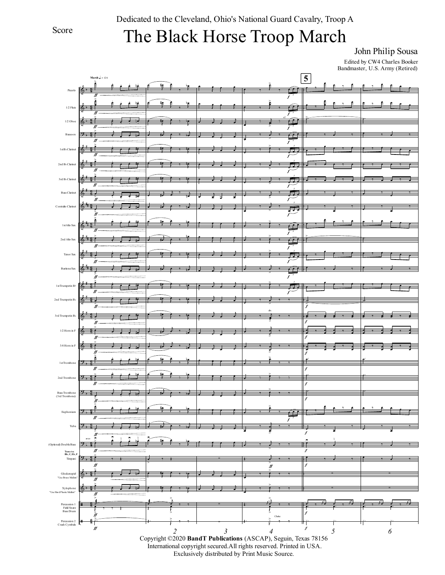Score

## The Black Horse Troop March

John Philip Sousa

Edited by CW4 Charles Booker Bandmaster, U.S. Army (Retired)

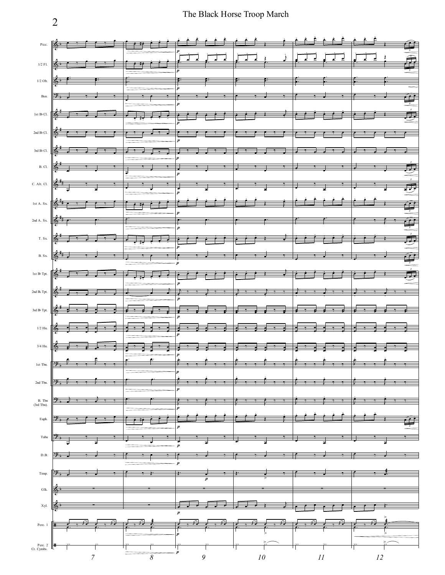<sup>2</sup> The Black Horse Troop March

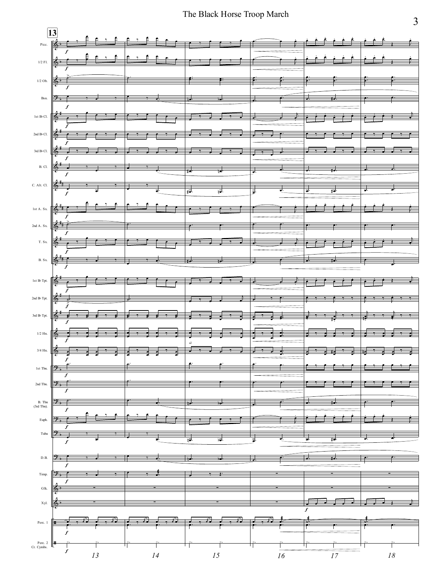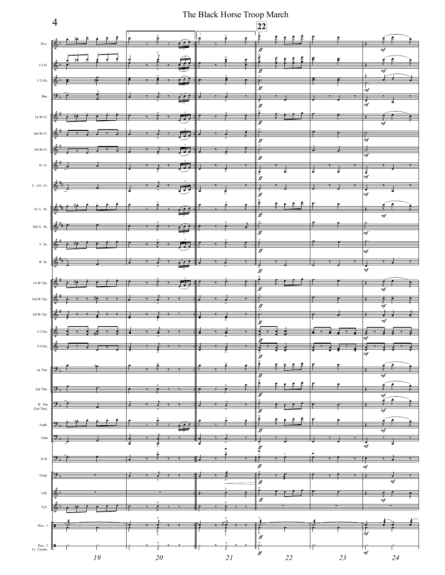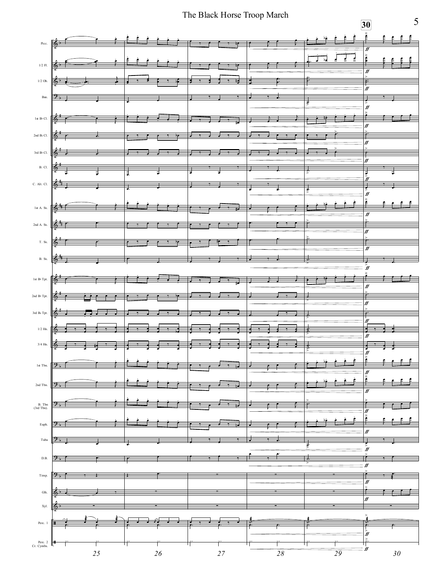The Black Horse Troop March



5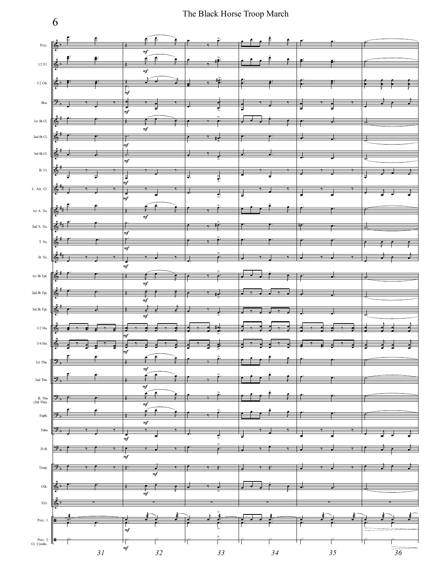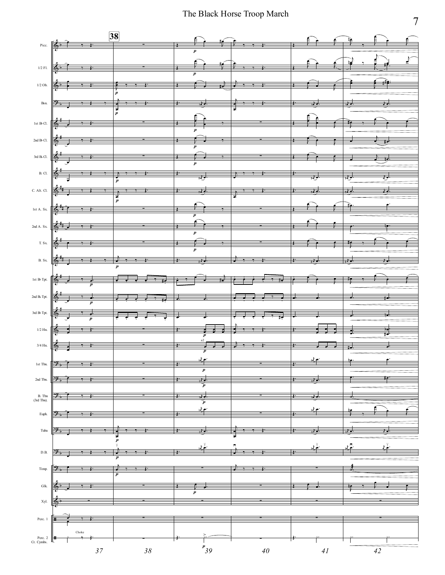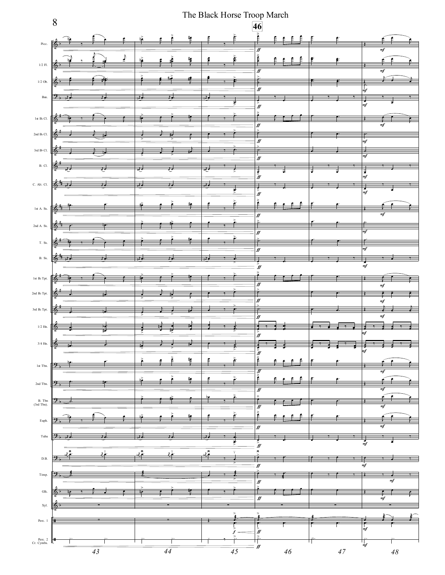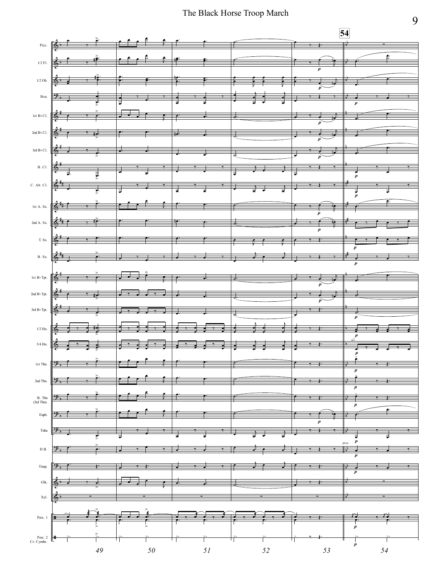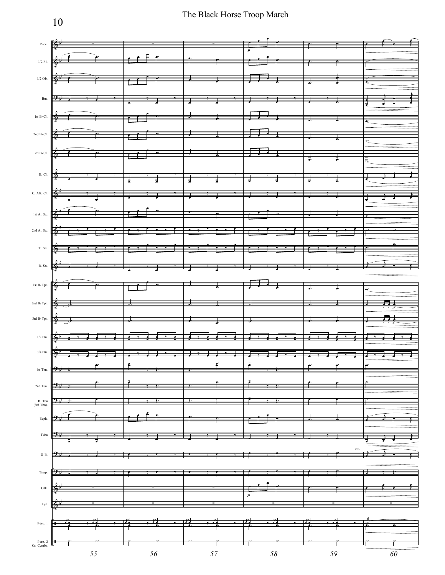10 The Black Horse Troop March

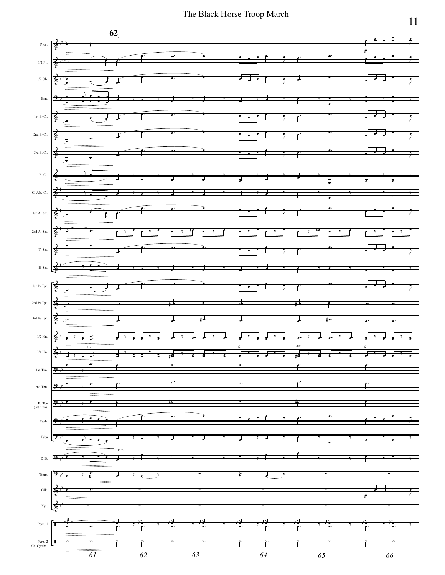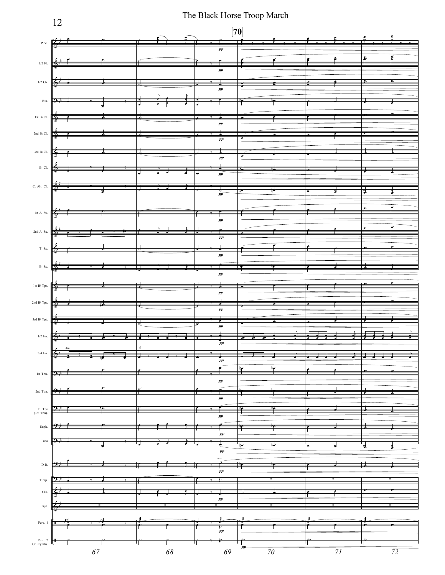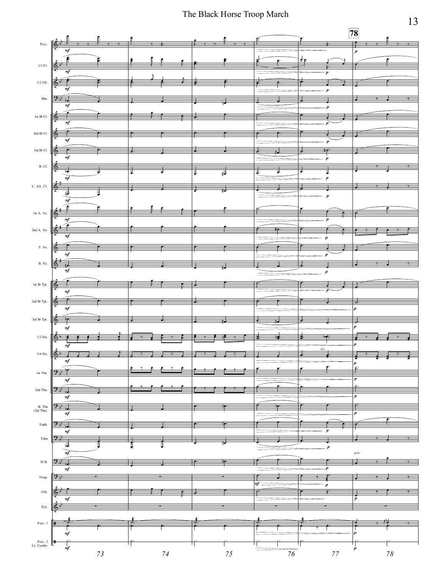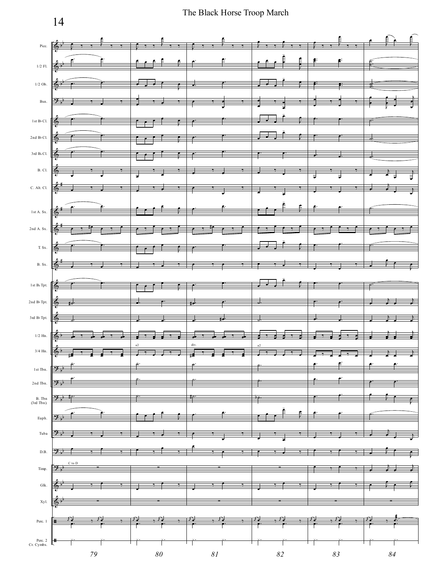The Black Horse Troop March



14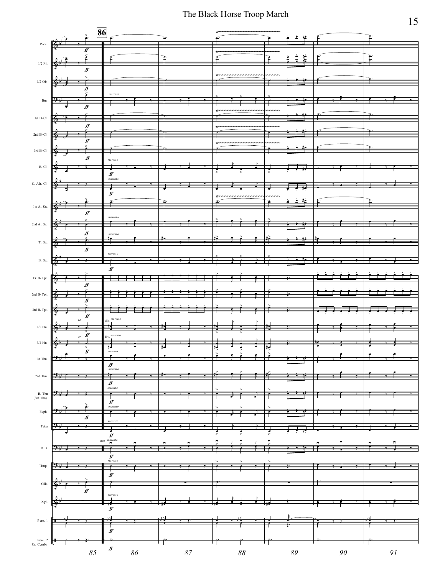The Black Horse Troop March 15

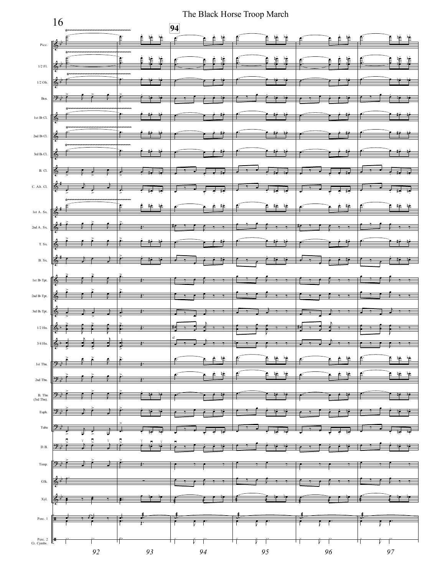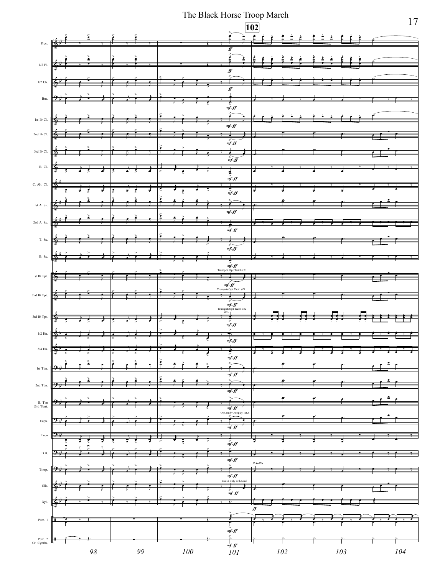#### The Black Horse Troop March

|                                                                           | $\boxed{102}$ |        |   |    |  |             |                                                                                                        |                                                 |                                   |         |              |     |          | $\Gamma$ |
|---------------------------------------------------------------------------|---------------|--------|---|----|--|-------------|--------------------------------------------------------------------------------------------------------|-------------------------------------------------|-----------------------------------|---------|--------------|-----|----------|----------|
| Picc.                                                                     | ๒             |        |   |    |  |             |                                                                                                        |                                                 |                                   |         |              |     |          |          |
|                                                                           |               |        |   |    |  |             | IJ                                                                                                     |                                                 |                                   |         |              |     |          |          |
| $1/2\,$ Fl.                                                               | Ю,            |        | è |    |  |             | IJ                                                                                                     |                                                 |                                   |         | Ē            |     |          |          |
| $1/2$ Ob.                                                                 | 五             |        |   |    |  |             |                                                                                                        |                                                 |                                   |         |              |     |          |          |
|                                                                           |               |        |   |    |  |             | ff                                                                                                     |                                                 |                                   |         |              |     |          |          |
| $_{\rm Bsn.}$                                                             | ヺ゠            |        |   |    |  |             | $\stackrel{\text{>}}{\text{mf}}\stackrel{\text{>}}{\text{eff}}$                                        |                                                 |                                   |         |              |     |          |          |
| 1st $B \triangleright C1$ .                                               | l∕o,          |        | × |    |  |             |                                                                                                        |                                                 |                                   |         |              |     |          |          |
| $2\mathrm{nd}$ B, Cl.                                                     |               |        |   |    |  |             | $\it mf\_{ff}$                                                                                         |                                                 |                                   |         |              |     |          |          |
|                                                                           | ∳             |        |   |    |  |             | $\overbrace{\mathit{mf\_ff}}^{\text{max}}$                                                             |                                                 |                                   |         |              |     |          |          |
| $3$ rd B $>$ Cl.                                                          | ю             |        |   |    |  |             | $\frac{2}{m}$ ff                                                                                       |                                                 |                                   |         |              |     |          |          |
| <b>B.</b> Cl.                                                             | I∳            |        |   |    |  |             | J.                                                                                                     |                                                 |                                   |         |              |     |          |          |
| C. Alt. Cl.                                                               |               |        |   |    |  |             | $\stackrel{\scriptstyle >}{\scriptstyle \it mf\_ff}$                                                   |                                                 |                                   |         |              |     |          | ≛        |
|                                                                           | l∲            |        |   |    |  |             | $\sum_{mf=ff}$                                                                                         |                                                 |                                   |         |              |     |          |          |
| 1st A. Sx.                                                                | ౹ౚ            |        |   |    |  |             | ┮<br>$\frac{1}{m}f_{-}ff$                                                                              |                                                 |                                   |         |              |     |          |          |
| 2nd A. Sx.                                                                |               |        |   |    |  |             |                                                                                                        |                                                 |                                   |         |              |     |          |          |
|                                                                           |               |        |   |    |  |             | $\stackrel{\textstyle >}{\textstyle{\textstyle\min}}$                                                  |                                                 |                                   |         |              |     |          |          |
| T. Sx.                                                                    | 险             |        |   |    |  |             | $\sum_{mf\_{ff}$                                                                                       |                                                 |                                   |         |              |     |          |          |
| <b>B.</b> Sx.                                                             | 质             |        |   |    |  |             |                                                                                                        |                                                 |                                   |         |              |     |          |          |
| 1st B $\flat$ Tpt.                                                        | ⊯             |        |   |    |  |             | $\stackrel{\text{>}}{\text{mf}}\stackrel{\text{}}{\text{eff}}$<br>Trumpets Opt. Tacit 1 st X           |                                                 |                                   |         |              |     |          |          |
|                                                                           |               |        |   |    |  |             | $\overbrace{mf - ff}$ Trumpets Opt. Tacit 1 st X                                                       |                                                 |                                   |         |              |     |          |          |
| 2nd $B$ Tpt.                                                              | 唪             |        |   |    |  |             |                                                                                                        |                                                 |                                   |         |              |     |          |          |
| $3\mathrm{rd}\ \mathrm{B}$ Tpt.                                           |               |        |   |    |  |             | $\begin{array}{c}\n\swarrow\\ \hline\n\text{Trumpets Opt} \\ \hline\n\text{dr} \\ \hline\n\end{array}$ |                                                 |                                   | ╺       | .            | . . |          |          |
|                                                                           | 唪             |        |   |    |  |             | $\it mf\_{ff}$                                                                                         |                                                 |                                   |         |              |     |          |          |
| $1/2$ Hn.                                                                 | <b>6</b>      |        |   |    |  |             | ÷<br>$mf\_ff$                                                                                          |                                                 |                                   |         |              |     |          |          |
| $3/4$ Hn.                                                                 | ⊫∕⊕           |        |   |    |  |             |                                                                                                        |                                                 |                                   |         |              |     |          |          |
| 1st Tbn.                                                                  | 9≑            |        |   |    |  |             | $\it mf\_{ff}$<br>$\geq$<br>₹                                                                          |                                                 |                                   |         |              |     |          |          |
|                                                                           |               |        |   |    |  |             | $\overline{\mathit{mf\_ff}}$<br>$\geq$                                                                 |                                                 |                                   |         |              |     |          |          |
| 2nd Tbn.                                                                  | ୨⊧            |        |   |    |  |             | ₹<br>$\frac{1}{m}$ f-ff                                                                                |                                                 |                                   |         |              |     |          |          |
| $\begin{array}{c} \text{B.} \text{ Tbn} \\ \text{(3rd Tbn).} \end{array}$ |               |        |   |    |  |             | $\geq$<br>₽                                                                                            |                                                 |                                   |         |              |     |          |          |
| Euph.                                                                     | ソー            |        | ∍ |    |  |             | ۴                                                                                                      | $\frac{m f - f f}{\frac{D f}{\sum_{i=1}^{n} f}$ |                                   |         |              |     |          |          |
| Tuba                                                                      | ⋺             |        |   |    |  |             | $\it mf\_{ff}$                                                                                         |                                                 |                                   |         |              |     |          |          |
|                                                                           |               |        |   |    |  |             | $\frac{1}{2}$<br>$\frac{1}{2}$                                                                         |                                                 |                                   |         |              |     |          |          |
| $D.B.$                                                                    | া⊅            |        |   |    |  |             | $\it mf\_{ff}$                                                                                         |                                                 |                                   |         |              |     |          |          |
| Timp.                                                                     | ⇒             |        |   |    |  |             |                                                                                                        |                                                 | ${\bf D}$ to ${\bf E} \, {\bf b}$ |         |              |     |          |          |
| $\operatorname*{Glk}.$                                                    | Κ'n           |        |   |    |  |             | $\mathit{mf\_ff}$                                                                                      | 2nd X only to the end                           |                                   |         | Ŧ            |     |          |          |
|                                                                           |               |        |   |    |  |             | $\overline{\mathcal{M}}_{\mathit{mf}\mathit{f}}$                                                       |                                                 |                                   |         |              |     |          |          |
| Xyl.                                                                      | ita,          |        |   |    |  |             | ŗ<br>$\geq$                                                                                            |                                                 | $f\hspace{-0.1cm}f$               |         |              |     |          |          |
| Perc. $1$                                                                 | ⊞             | ∗      |   |    |  |             | ÷<br>Ì.                                                                                                |                                                 |                                   |         |              |     | ⇁<br>. ـ |          |
|                                                                           | ᡛᡃ            |        |   |    |  |             | $\stackrel{\text{>}}{\text{mf}}\stackrel{\text{}}{\text{aff}}$<br>₹.                                   |                                                 |                                   |         |              |     |          |          |
| Perc. 2<br>Cr. Cymbs.                                                     |               | $98\,$ |   | 99 |  | ${\it 100}$ | $\it mf\_ff$                                                                                           | ${\it 101}$                                     |                                   | $102\,$ | Ч<br>$103\,$ |     | Ч        | $104\,$  |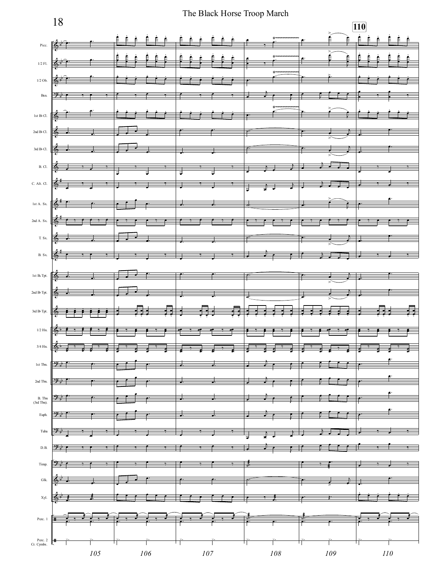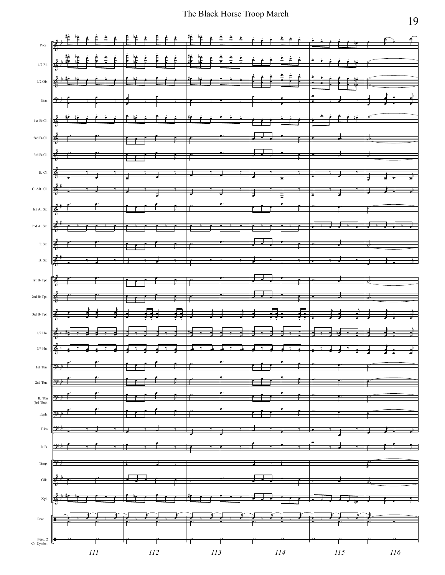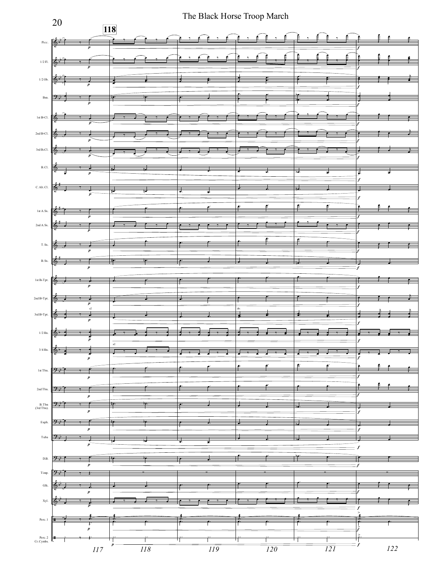The Black Horse Troop March

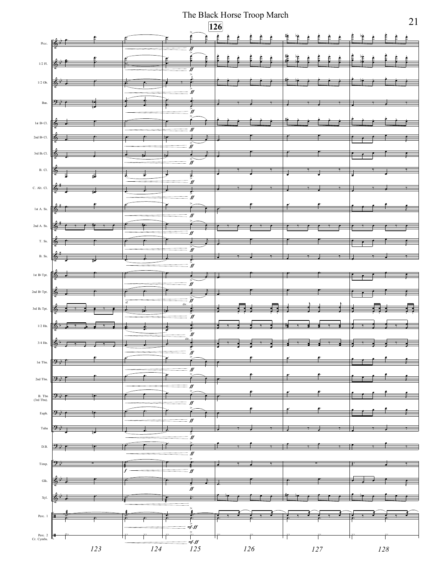